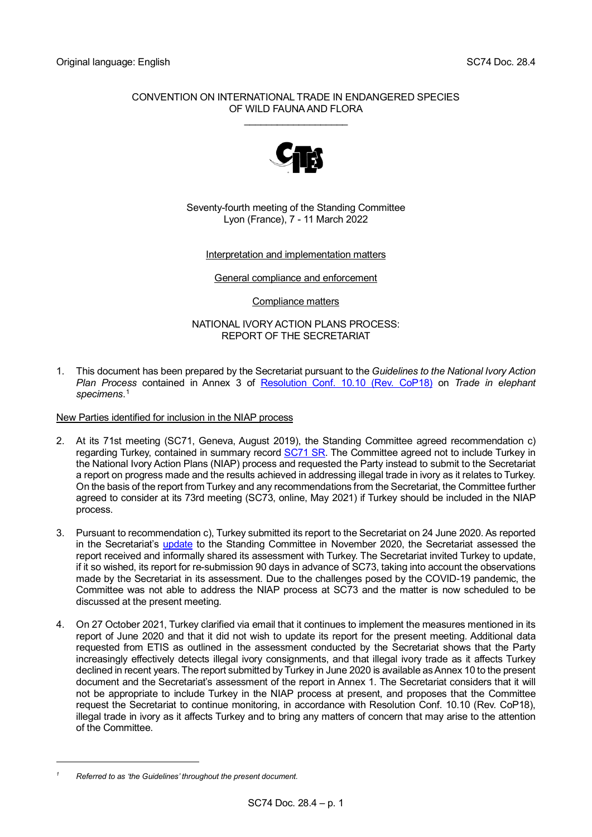## CONVENTION ON INTERNATIONAL TRADE IN ENDANGERED SPECIES OF WILD FAUNA AND FLORA \_\_\_\_\_\_\_\_\_\_\_\_\_\_\_\_\_\_\_



Seventy-fourth meeting of the Standing Committee Lyon (France), 7 - 11 March 2022

## Interpretation and implementation matters

General compliance and enforcement

Compliance matters

NATIONAL IVORY ACTION PLANS PROCESS: REPORT OF THE SECRETARIAT

1. This document has been prepared by the Secretariat pursuant to the *Guidelines to the National Ivory Action Plan Process* contained in Annex 3 of [Resolution Conf. 10.10 \(Rev. CoP18\)](https://cites.org/sites/default/files/document/E-Res-10-10-R18.pdf) on *Trade in elephant specimens*. [1](#page-0-0)

New Parties identified for inclusion in the NIAP process

- 2. At its 71st meeting (SC71, Geneva, August 2019), the Standing Committee agreed recommendation c) regarding Turkey, contained in summary record [SC71 SR.](https://cites.org/sites/default/files/eng/com/sc/71/exsum/E-SC71-SR.pdf) The Committee agreed not to include Turkey in the National Ivory Action Plans (NIAP) process and requested the Party instead to submit to the Secretariat a report on progress made and the results achieved in addressing illegal trade in ivory as it relates to Turkey. On the basis of the report from Turkey and any recommendations from the Secretariat, the Committee further agreed to consider at its 73rd meeting (SC73, online, May 2021) if Turkey should be included in the NIAP process.
- 3. Pursuant to recommendation c), Turkey submitted its report to the Secretariat on 24 June 2020. As reported in the Secretariat's [update](https://cites.org/sites/default/files/eng/com/sc/2020-2021/Inf/E-SC2020-Inf-09.pdf) to the Standing Committee in November 2020, the Secretariat assessed the report received and informally shared its assessment with Turkey. The Secretariat invited Turkey to update, if it so wished, its report for re-submission 90 days in advance of SC73, taking into account the observations made by the Secretariat in its assessment. Due to the challenges posed by the COVID-19 pandemic, the Committee was not able to address the NIAP process at SC73 and the matter is now scheduled to be discussed at the present meeting.
- 4. On 27 October 2021, Turkey clarified via email that it continues to implement the measures mentioned in its report of June 2020 and that it did not wish to update its report for the present meeting. Additional data requested from ETIS as outlined in the assessment conducted by the Secretariat shows that the Party increasingly effectively detects illegal ivory consignments, and that illegal ivory trade as it affects Turkey declined in recent years. The report submitted by Turkey in June 2020 is available as Annex 10 to the present document and the Secretariat's assessment of the report in Annex 1. The Secretariat considers that it will not be appropriate to include Turkey in the NIAP process at present, and proposes that the Committee request the Secretariat to continue monitoring, in accordance with Resolution Conf. 10.10 (Rev. CoP18), illegal trade in ivory as it affects Turkey and to bring any matters of concern that may arise to the attention of the Committee.

<span id="page-0-0"></span>*<sup>1</sup> Referred to as 'the Guidelines' throughout the present document.*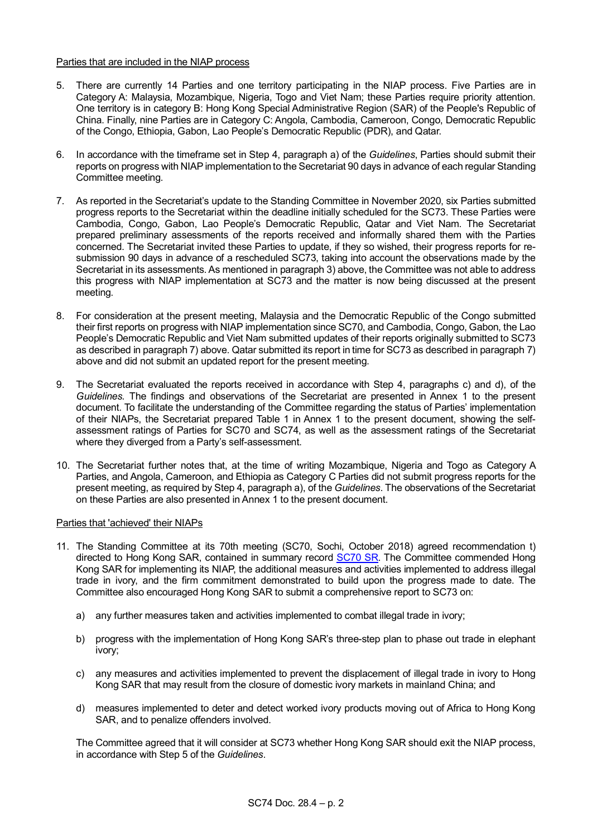### Parties that are included in the NIAP process

- 5. There are currently 14 Parties and one territory participating in the NIAP process. Five Parties are in Category A: Malaysia, Mozambique, Nigeria, Togo and Viet Nam; these Parties require priority attention. One territory is in category B: Hong Kong Special Administrative Region (SAR) of the People's Republic of China. Finally, nine Parties are in Category C: Angola, Cambodia, Cameroon, Congo, Democratic Republic of the Congo, Ethiopia, Gabon, Lao People's Democratic Republic (PDR), and Qatar.
- 6. In accordance with the timeframe set in Step 4, paragraph a) of the *Guidelines*, Parties should submit their reports on progress with NIAP implementation to the Secretariat 90 days in advance of each regular Standing Committee meeting.
- 7. As reported in the Secretariat's update to the Standing Committee in November 2020, six Parties submitted progress reports to the Secretariat within the deadline initially scheduled for the SC73. These Parties were Cambodia, Congo, Gabon, Lao People's Democratic Republic, Qatar and Viet Nam. The Secretariat prepared preliminary assessments of the reports received and informally shared them with the Parties concerned. The Secretariat invited these Parties to update, if they so wished, their progress reports for resubmission 90 days in advance of a rescheduled SC73, taking into account the observations made by the Secretariat in its assessments. As mentioned in paragraph 3) above, the Committee was not able to address this progress with NIAP implementation at SC73 and the matter is now being discussed at the present meeting.
- 8. For consideration at the present meeting, Malaysia and the Democratic Republic of the Congo submitted their first reports on progress with NIAP implementation since SC70, and Cambodia, Congo, Gabon, the Lao People's Democratic Republic and Viet Nam submitted updates of their reports originally submitted to SC73 as described in paragraph 7) above. Qatar submitted its report in time for SC73 as described in paragraph 7) above and did not submit an updated report for the present meeting.
- 9. The Secretariat evaluated the reports received in accordance with Step 4, paragraphs c) and d), of the *Guidelines.* The findings and observations of the Secretariat are presented in Annex 1 to the present document. To facilitate the understanding of the Committee regarding the status of Parties' implementation of their NIAPs, the Secretariat prepared Table 1 in Annex 1 to the present document, showing the selfassessment ratings of Parties for SC70 and SC74, as well as the assessment ratings of the Secretariat where they diverged from a Party's self-assessment.
- 10. The Secretariat further notes that, at the time of writing Mozambique, Nigeria and Togo as Category A Parties, and Angola, Cameroon, and Ethiopia as Category C Parties did not submit progress reports for the present meeting, as required by Step 4, paragraph a), of the *Guidelines*. The observations of the Secretariat on these Parties are also presented in Annex 1 to the present document.

### Parties that 'achieved' their NIAPs

- 11. The Standing Committee at its 70th meeting (SC70, Sochi, October 2018) agreed recommendation t) directed to Hong Kong SAR, contained in summary record [SC70 SR.](https://cites.org/sites/default/files/eng/com/sc/70/exsum/E-SC70-SR.pdf) The Committee commended Hong Kong SAR for implementing its NIAP, the additional measures and activities implemented to address illegal trade in ivory, and the firm commitment demonstrated to build upon the progress made to date. The Committee also encouraged Hong Kong SAR to submit a comprehensive report to SC73 on:
	- a) any further measures taken and activities implemented to combat illegal trade in ivory;
	- b) progress with the implementation of Hong Kong SAR's three-step plan to phase out trade in elephant ivory;
	- c) any measures and activities implemented to prevent the displacement of illegal trade in ivory to Hong Kong SAR that may result from the closure of domestic ivory markets in mainland China; and
	- d) measures implemented to deter and detect worked ivory products moving out of Africa to Hong Kong SAR, and to penalize offenders involved.

The Committee agreed that it will consider at SC73 whether Hong Kong SAR should exit the NIAP process, in accordance with Step 5 of the *Guidelines*.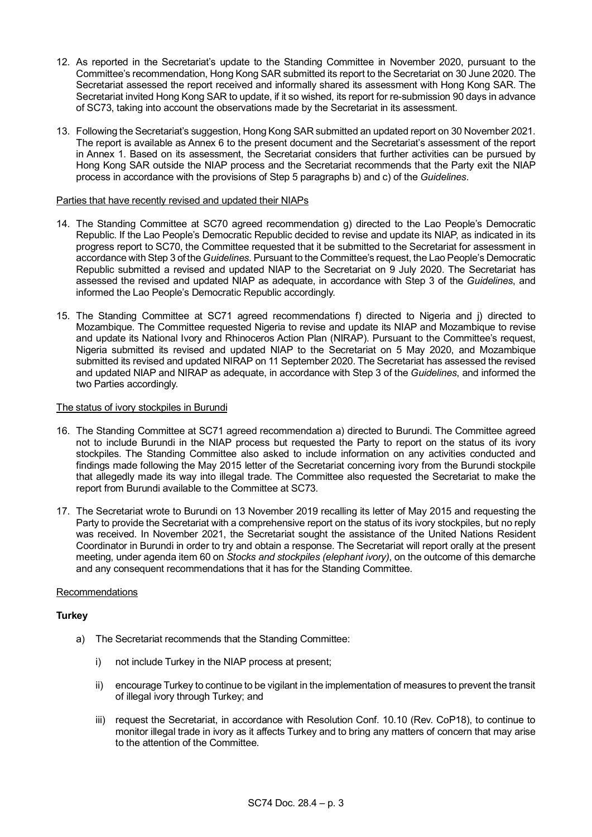- 12. As reported in the Secretariat's update to the Standing Committee in November 2020, pursuant to the Committee's recommendation, Hong Kong SAR submitted its report to the Secretariat on 30 June 2020. The Secretariat assessed the report received and informally shared its assessment with Hong Kong SAR. The Secretariat invited Hong Kong SAR to update, if it so wished, its report for re-submission 90 days in advance of SC73, taking into account the observations made by the Secretariat in its assessment.
- 13. Following the Secretariat's suggestion, Hong Kong SAR submitted an updated report on 30 November 2021. The report is available as Annex 6 to the present document and the Secretariat's assessment of the report in Annex 1. Based on its assessment, the Secretariat considers that further activities can be pursued by Hong Kong SAR outside the NIAP process and the Secretariat recommends that the Party exit the NIAP process in accordance with the provisions of Step 5 paragraphs b) and c) of the *Guidelines*.

### Parties that have recently revised and updated their NIAPs

- 14. The Standing Committee at SC70 agreed recommendation g) directed to the Lao People's Democratic Republic. If the Lao People's Democratic Republic decided to revise and update its NIAP, as indicated in its progress report to SC70, the Committee requested that it be submitted to the Secretariat for assessment in accordance with Step 3 of the *Guidelines*. Pursuant to the Committee's request, the Lao People's Democratic Republic submitted a revised and updated NIAP to the Secretariat on 9 July 2020. The Secretariat has assessed the revised and updated NIAP as adequate, in accordance with Step 3 of the *Guidelines*, and informed the Lao People's Democratic Republic accordingly.
- 15. The Standing Committee at SC71 agreed recommendations f) directed to Nigeria and j) directed to Mozambique. The Committee requested Nigeria to revise and update its NIAP and Mozambique to revise and update its National Ivory and Rhinoceros Action Plan (NIRAP). Pursuant to the Committee's request, Nigeria submitted its revised and updated NIAP to the Secretariat on 5 May 2020, and Mozambique submitted its revised and updated NIRAP on 11 September 2020. The Secretariat has assessed the revised and updated NIAP and NIRAP as adequate, in accordance with Step 3 of the *Guidelines*, and informed the two Parties accordingly.

## The status of ivory stockpiles in Burundi

- 16. The Standing Committee at SC71 agreed recommendation a) directed to Burundi. The Committee agreed not to include Burundi in the NIAP process but requested the Party to report on the status of its ivory stockpiles. The Standing Committee also asked to include information on any activities conducted and findings made following the May 2015 letter of the Secretariat concerning ivory from the Burundi stockpile that allegedly made its way into illegal trade. The Committee also requested the Secretariat to make the report from Burundi available to the Committee at SC73.
- 17. The Secretariat wrote to Burundi on 13 November 2019 recalling its letter of May 2015 and requesting the Party to provide the Secretariat with a comprehensive report on the status of its ivory stockpiles, but no reply was received. In November 2021, the Secretariat sought the assistance of the United Nations Resident Coordinator in Burundi in order to try and obtain a response. The Secretariat will report orally at the present meeting, under agenda item 60 on *Stocks and stockpiles (elephant ivory)*, on the outcome of this demarche and any consequent recommendations that it has for the Standing Committee.

### Recommendations

# **Turkey**

- a) The Secretariat recommends that the Standing Committee:
	- i) not include Turkey in the NIAP process at present;
	- ii) encourage Turkey to continue to be vigilant in the implementation of measures to prevent the transit of illegal ivory through Turkey; and
	- iii) request the Secretariat, in accordance with Resolution Conf. 10.10 (Rev. CoP18), to continue to monitor illegal trade in ivory as it affects Turkey and to bring any matters of concern that may arise to the attention of the Committee.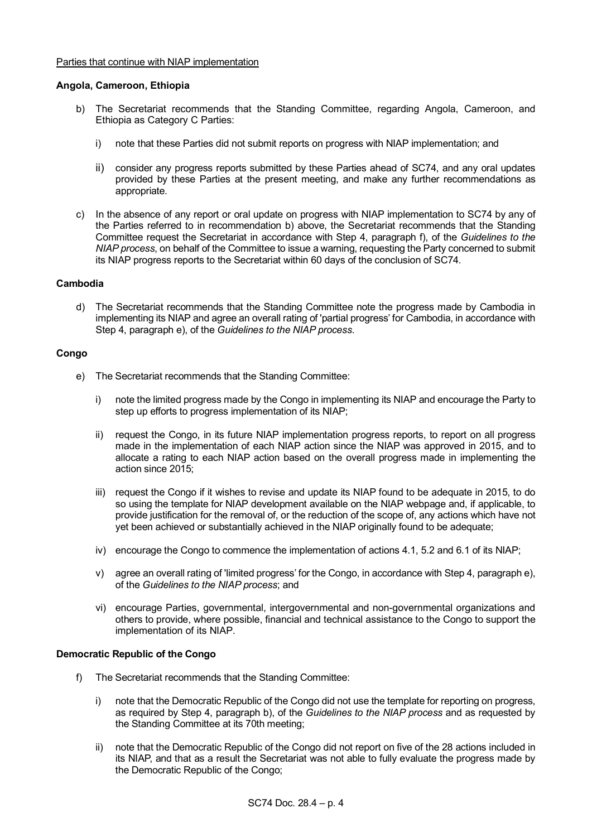#### Parties that continue with NIAP implementation

#### **Angola, Cameroon, Ethiopia**

- b) The Secretariat recommends that the Standing Committee, regarding Angola, Cameroon, and Ethiopia as Category C Parties:
	- i) note that these Parties did not submit reports on progress with NIAP implementation; and
	- ii) consider any progress reports submitted by these Parties ahead of SC74, and any oral updates provided by these Parties at the present meeting, and make any further recommendations as appropriate.
- c) In the absence of any report or oral update on progress with NIAP implementation to SC74 by any of the Parties referred to in recommendation b) above, the Secretariat recommends that the Standing Committee request the Secretariat in accordance with Step 4, paragraph f), of the *Guidelines to the NIAP process*, on behalf of the Committee to issue a warning, requesting the Party concerned to submit its NIAP progress reports to the Secretariat within 60 days of the conclusion of SC74.

## **Cambodia**

d) The Secretariat recommends that the Standing Committee note the progress made by Cambodia in implementing its NIAP and agree an overall rating of 'partial progress' for Cambodia, in accordance with Step 4, paragraph e), of the *Guidelines to the NIAP process*.

#### **Congo**

- e) The Secretariat recommends that the Standing Committee:
	- i) note the limited progress made by the Congo in implementing its NIAP and encourage the Party to step up efforts to progress implementation of its NIAP;
	- ii) request the Congo, in its future NIAP implementation progress reports, to report on all progress made in the implementation of each NIAP action since the NIAP was approved in 2015, and to allocate a rating to each NIAP action based on the overall progress made in implementing the action since 2015;
	- iii) request the Congo if it wishes to revise and update its NIAP found to be adequate in 2015, to do so using the template for NIAP development available on the NIAP webpage and, if applicable, to provide justification for the removal of, or the reduction of the scope of, any actions which have not yet been achieved or substantially achieved in the NIAP originally found to be adequate;
	- iv) encourage the Congo to commence the implementation of actions 4.1, 5.2 and 6.1 of its NIAP;
	- v) agree an overall rating of 'limited progress' for the Congo, in accordance with Step 4, paragraph e), of the *Guidelines to the NIAP process*; and
	- vi) encourage Parties, governmental, intergovernmental and non-governmental organizations and others to provide, where possible, financial and technical assistance to the Congo to support the implementation of its NIAP.

### **Democratic Republic of the Congo**

- f) The Secretariat recommends that the Standing Committee:
	- i) note that the Democratic Republic of the Congo did not use the template for reporting on progress, as required by Step 4, paragraph b), of the *Guidelines to the NIAP process* and as requested by the Standing Committee at its 70th meeting;
	- ii) note that the Democratic Republic of the Congo did not report on five of the 28 actions included in its NIAP, and that as a result the Secretariat was not able to fully evaluate the progress made by the Democratic Republic of the Congo;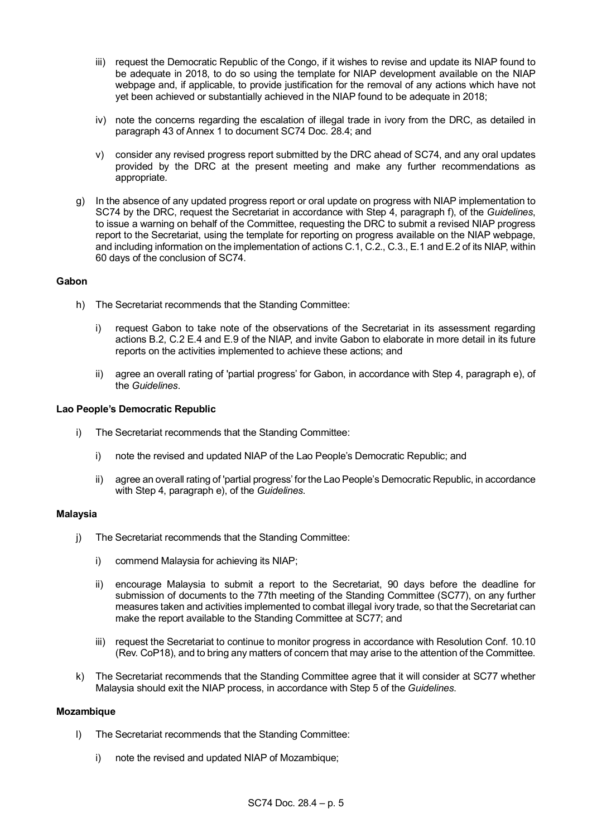- iii) request the Democratic Republic of the Congo, if it wishes to revise and update its NIAP found to be adequate in 2018, to do so using the template for NIAP development available on the NIAP webpage and, if applicable, to provide justification for the removal of any actions which have not yet been achieved or substantially achieved in the NIAP found to be adequate in 2018;
- iv) note the concerns regarding the escalation of illegal trade in ivory from the DRC, as detailed in paragraph 43 of Annex 1 to document SC74 Doc. 28.4; and
- v) consider any revised progress report submitted by the DRC ahead of SC74, and any oral updates provided by the DRC at the present meeting and make any further recommendations as appropriate.
- g) In the absence of any updated progress report or oral update on progress with NIAP implementation to SC74 by the DRC, request the Secretariat in accordance with Step 4, paragraph f), of the *Guidelines*, to issue a warning on behalf of the Committee, requesting the DRC to submit a revised NIAP progress report to the Secretariat, using the template for reporting on progress available on the NIAP webpage, and including information on the implementation of actions C.1, C.2., C.3., E.1 and E.2 of its NIAP, within 60 days of the conclusion of SC74.

### **Gabon**

- h) The Secretariat recommends that the Standing Committee:
	- i) request Gabon to take note of the observations of the Secretariat in its assessment regarding actions B.2, C.2 E.4 and E.9 of the NIAP, and invite Gabon to elaborate in more detail in its future reports on the activities implemented to achieve these actions; and
	- ii) agree an overall rating of 'partial progress' for Gabon, in accordance with Step 4, paragraph e), of the *Guidelines*.

## **Lao People's Democratic Republic**

- i) The Secretariat recommends that the Standing Committee:
	- i) note the revised and updated NIAP of the Lao People's Democratic Republic; and
	- ii) agree an overall rating of 'partial progress' for the Lao People's Democratic Republic, in accordance with Step 4, paragraph e), of the *Guidelines*.

### **Malaysia**

- j) The Secretariat recommends that the Standing Committee:
	- i) commend Malaysia for achieving its NIAP;
	- ii) encourage Malaysia to submit a report to the Secretariat, 90 days before the deadline for submission of documents to the 77th meeting of the Standing Committee (SC77), on any further measures taken and activities implemented to combat illegal ivory trade, so that the Secretariat can make the report available to the Standing Committee at SC77; and
	- iii) request the Secretariat to continue to monitor progress in accordance with Resolution Conf. 10.10 (Rev. CoP18), and to bring any matters of concern that may arise to the attention of the Committee.
- k) The Secretariat recommends that the Standing Committee agree that it will consider at SC77 whether Malaysia should exit the NIAP process, in accordance with Step 5 of the *Guidelines*.

### **Mozambique**

- l) The Secretariat recommends that the Standing Committee:
	- i) note the revised and updated NIAP of Mozambique;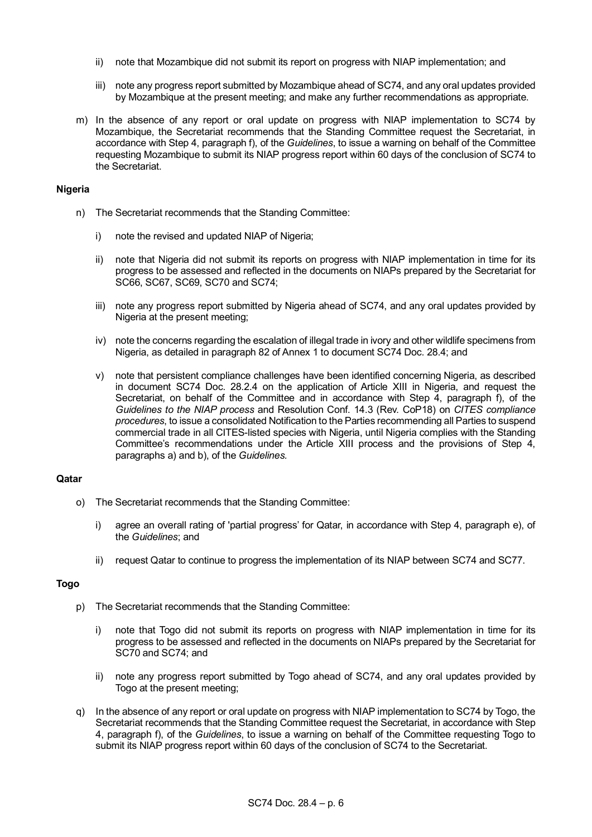- ii) note that Mozambique did not submit its report on progress with NIAP implementation; and
- iii) note any progress report submitted by Mozambique ahead of SC74, and any oral updates provided by Mozambique at the present meeting; and make any further recommendations as appropriate.
- m) In the absence of any report or oral update on progress with NIAP implementation to SC74 by Mozambique, the Secretariat recommends that the Standing Committee request the Secretariat, in accordance with Step 4, paragraph f), of the *Guidelines*, to issue a warning on behalf of the Committee requesting Mozambique to submit its NIAP progress report within 60 days of the conclusion of SC74 to the Secretariat.

### **Nigeria**

- n) The Secretariat recommends that the Standing Committee:
	- i) note the revised and updated NIAP of Nigeria:
	- ii) note that Nigeria did not submit its reports on progress with NIAP implementation in time for its progress to be assessed and reflected in the documents on NIAPs prepared by the Secretariat for SC66, SC67, SC69, SC70 and SC74;
	- iii) note any progress report submitted by Nigeria ahead of SC74, and any oral updates provided by Nigeria at the present meeting;
	- iv) note the concerns regarding the escalation of illegal trade in ivory and other wildlife specimens from Nigeria, as detailed in paragraph 82 of Annex 1 to document SC74 Doc. 28.4; and
	- v) note that persistent compliance challenges have been identified concerning Nigeria, as described in document SC74 Doc. 28.2.4 on the application of Article XIII in Nigeria, and request the Secretariat, on behalf of the Committee and in accordance with Step 4, paragraph f), of the *Guidelines to the NIAP process* and Resolution Conf. 14.3 (Rev. CoP18) on *CITES compliance procedures*, to issue a consolidated Notification to the Parties recommending all Parties to suspend commercial trade in all CITES-listed species with Nigeria, until Nigeria complies with the Standing Committee's recommendations under the Article XIII process and the provisions of Step 4, paragraphs a) and b), of the *Guidelines.*

# **Qatar**

- o) The Secretariat recommends that the Standing Committee:
	- i) agree an overall rating of 'partial progress' for Qatar, in accordance with Step 4, paragraph e), of the *Guidelines*; and
	- ii) request Qatar to continue to progress the implementation of its NIAP between SC74 and SC77.

# **Togo**

- p) The Secretariat recommends that the Standing Committee:
	- i) note that Togo did not submit its reports on progress with NIAP implementation in time for its progress to be assessed and reflected in the documents on NIAPs prepared by the Secretariat for SC70 and SC74; and
	- ii) note any progress report submitted by Togo ahead of SC74, and any oral updates provided by Togo at the present meeting;
- q) In the absence of any report or oral update on progress with NIAP implementation to SC74 by Togo, the Secretariat recommends that the Standing Committee request the Secretariat, in accordance with Step 4, paragraph f), of the *Guidelines*, to issue a warning on behalf of the Committee requesting Togo to submit its NIAP progress report within 60 days of the conclusion of SC74 to the Secretariat.